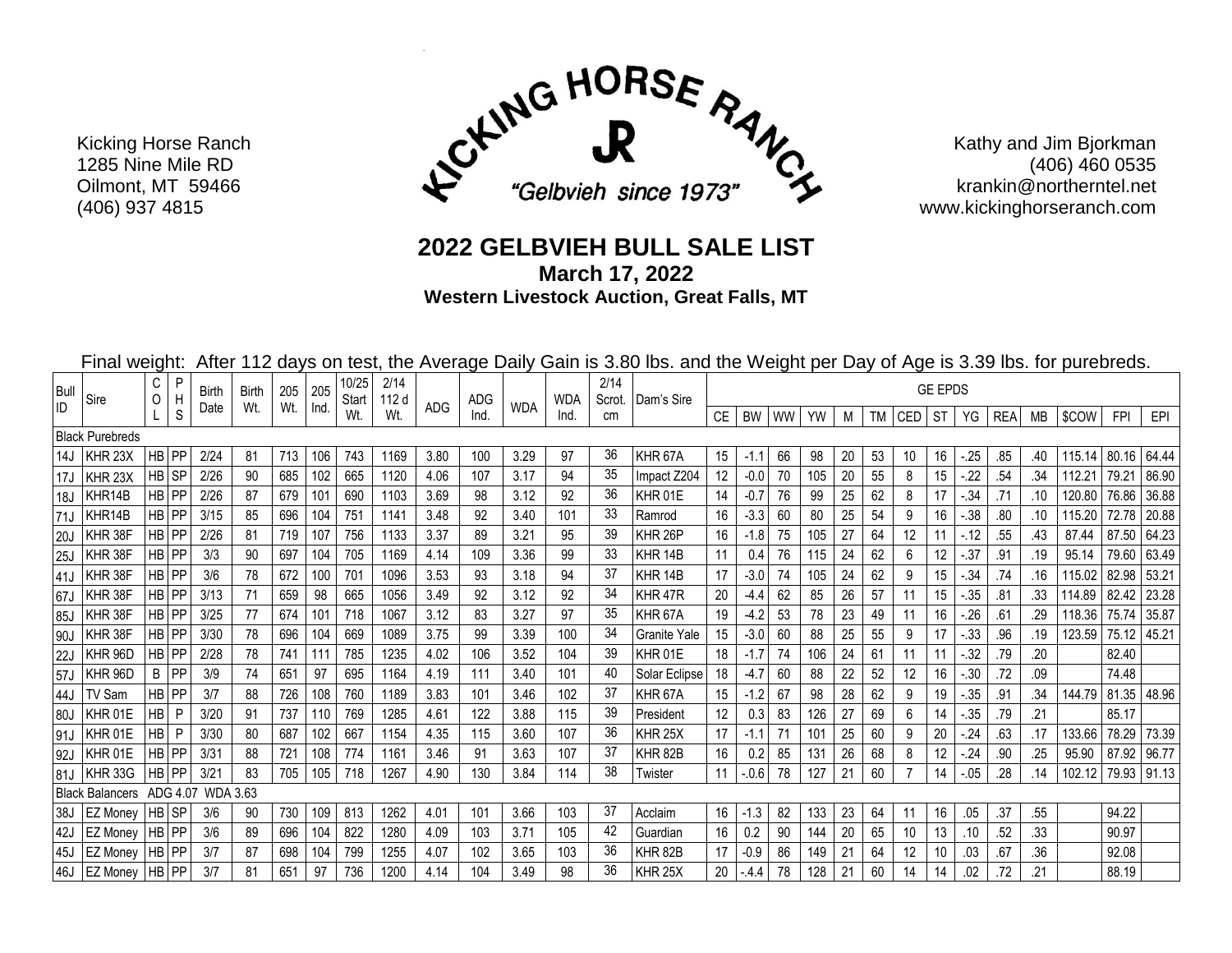

Kathy and Jim Bjorkman (406) 460 0535 krankin@northerntel.net www.kickinghorseranch.com

## **2022 GELBVIEH BULL SALE LIST**

**March 17, 2022**

**Western Livestock Auction, Great Falls, MT**

Final weight: After 112 days on test, the Average Daily Gain is 3.80 lbs. and the Weight per Day of Age is 3.39 lbs. for purebreds.

| <b>Bull</b><br>ID                           | Sire                   | С<br>O    | P<br>H<br>S  | <b>Birth</b> | Birth | 205             | 205          | 10/25<br>Start | 2/14<br>112 d |      | <b>ADG</b> | <b>WDA</b> | <b>WDA</b><br>Ind. | 2/14<br>Scrot. | Dam's Sire          | <b>GE EPDS</b> |        |    |     |    |    |            |    |         |            |     |        |            |       |
|---------------------------------------------|------------------------|-----------|--------------|--------------|-------|-----------------|--------------|----------------|---------------|------|------------|------------|--------------------|----------------|---------------------|----------------|--------|----|-----|----|----|------------|----|---------|------------|-----|--------|------------|-------|
|                                             |                        |           |              | Date         | Wt.   | Wt.             | <b>Ind</b>   | Wt.            | Wt.           | ADG  | Ind.       |            |                    | cm             |                     | <b>CE</b>      | BW     | WW | YW  | М  | TM | <b>CED</b> | ST | YG      | <b>REA</b> | МB  | \$COW  | <b>FPI</b> | EPI   |
|                                             | <b>Black Purebreds</b> |           |              |              |       |                 |              |                |               |      |            |            |                    |                |                     |                |        |    |     |    |    |            |    |         |            |     |        |            |       |
| 14J                                         | KHR 23X                |           | <b>HB</b> PP | 2/24         | 81    | 713             | 106          | 743            | 1169          | 3.80 | 100        | 3.29       | 97                 | 36             | KHR 67A             | 15             | $-1.1$ | 66 | 98  | 20 | 53 | 10         | 16 | $-25$   | .85        | .40 | 115.14 | 80.16      | 64.44 |
| 17J                                         | KHR <sub>23X</sub>     |           | HB SP        | 2/26         | 90    | 685             | 102          | 665            | 1120          | 4.06 | 107        | 3.17       | 94                 | 35             | Impact Z204         | 12             | $-0.0$ | 70 | 105 | 20 | 55 | 8          | 15 | $-22$   | .54        | .34 | 112.21 | 79.21      | 86.90 |
| 18J                                         | KHR14B                 |           | HB PP        | 2/26         | 87    | 679             | 101          | 690            | 1103          | 3.69 | 98         | 3.12       | 92                 | 36             | KHR 01E             | 14             | $-0.7$ | 76 | 99  | 25 | 62 | 8          | 17 | $-.34$  | .71        | .10 | 120.80 | 76.86      | 36.88 |
| 71J                                         | KHR14B                 |           | HB PP        | 3/15         | 85    | 696             | 104          | 751            | 1141          | 3.48 | 92         | 3.40       | 101                | 33             | Ramrod              | 16             | $-3.3$ | 60 | 80  | 25 | 54 | 9          | 16 | $-38$   | .80        | .10 | 115.20 | 72.78      | 20.88 |
| 20J                                         | KHR 38F                |           | HB PP        | 2/26         | 81    | 719             | 107          | 756            | 1133          | 3.37 | 89         | 3.21       | 95                 | 39             | KHR 26P             | 16             | $-1.8$ | 75 | 105 | 27 | 64 | 12         | 11 | $-12$   | 55         | .43 | 87.44  | 87.50      | 64.23 |
| 25J                                         | KHR 38F                |           | HB PP        | 3/3          | 90    | 697             | 104          | 705            | 1169          | 4.14 | 109        | 3.36       | 99                 | 33             | KHR <sub>14B</sub>  | 11             | 0.4    | 76 | 115 | 24 | 62 | 6          | 12 | $-0.37$ | .91        | .19 | 95.14  | 79.60      | 63.49 |
| 41J                                         | KHR 38F                |           | HB PP        | 3/6          | 78    | 672             | 100          | 701            | 1096          | 3.53 | 93         | 3.18       | 94                 | 37             | KHR <sub>14B</sub>  | 17             | $-3.0$ | 74 | 105 | 24 | 62 | 9          | 15 | $-.34$  | .74        | .16 | 115.02 | 82.98      | 53.21 |
| 67J                                         | KHR 38F                |           | HB PP        | 3/13         | 71    | 659             | 98           | 665            | 1056          | 3.49 | 92         | 3.12       | 92                 | 34             | KHR 47R             | 20             | $-4.4$ | 62 | 85  | 26 | 57 |            | 15 | $-0.35$ | .81        | .33 | 114.89 | 82.42      | 23.28 |
| 85J                                         | KHR 38F                |           | <b>HB</b> PP | 3/25         | 77    | 674             | 101          | 718            | 1067          | 3.12 | 83         | 3.27       | 97                 | 35             | KHR <sub>67</sub> A | 19             | $-4.2$ | 53 | 78  | 23 | 49 |            | 16 | $-26$   | .61        | .29 | 118.36 | 75.74      | 35.87 |
| 90J                                         | KHR 38F                |           | HB PP        | 3/30         | 78    | 696             | 104          | 669            | 1089          | 3.75 | 99         | 3.39       | 100                | 34             | Granite Yale        | 15             | $-3.0$ | 60 | 88  | 25 | 55 | 9          | 17 | $-0.33$ | .96        | .19 | 123.59 | 75.12      | 45.21 |
| 22J                                         | KHR 96D                |           | HB PP        | 2/28         | 78    | 741             | $11^{\circ}$ | 785            | 1235          | 4.02 | 106        | 3.52       | 104                | 39             | KHR 01E             | 18             | $-1.7$ | 74 | 106 | 24 | 61 | 11         | 11 | $-32$   | .79        | .20 |        | 82.40      |       |
| 57J                                         | KHR 96D                | B         | PP           | 3/9          | 74    | 651             | 97           | 695            | 1164          | 4.19 | 111        | 3.40       | 101                | 40             | Solar Eclipse       | 18             | $-4.7$ | 60 | 88  | 22 | 52 | 12         | 16 | $-0.30$ | .72        | .09 |        | 74.48      |       |
| 44J                                         | TV Sam                 |           | <b>HB</b> PP | 3/7          | 88    | 726             | 108          | 760            | 1189          | 3.83 | 101        | 3.46       | 102                | 37             | KHR <sub>67</sub> A | 15             | $-1.2$ | 67 | 98  | 28 | 62 | 9          | 19 | $-35$   | .91        | .34 | 144.79 | 81.35      | 48.96 |
| 80J                                         | KHR 01E                | HB        | -P           | 3/20         | 91    | 737             | 110          | 769            | 1285          | 4.61 | 122        | 3.88       | 115                | 39             | President           | 12             | 0.3    | 83 | 126 | 27 | 69 | 6          | 14 | $-.35$  | .79        | .21 |        | 85.17      |       |
| 91J                                         | KHR 01E                | <b>HB</b> | P            | 3/30         | 80    | 687             | 102          | 667            | 1154          | 4.35 | 115        | 3.60       | 107                | 36             | KHR <sub>25</sub> X | 17             | $-1.1$ | 71 | 101 | 25 | 60 | 9          | 20 | $-24$   | .63        | .17 | 133.66 | 78.29      | 73.39 |
| 92J                                         | KHR 01E                |           | HB PP        | 3/31         | 88    | 721             | 108          | 774            | 1161          | 3.46 | 91         | 3.63       | 107                | 37             | KHR <sub>82B</sub>  | 16             | 0.2    | 85 | 131 | 26 | 68 | 8          | 12 | .24     | .90        | .25 | 95.90  | 87.92      | 96.77 |
| 81J                                         | KHR 33G                |           | <b>HB</b> PP | 3/21         | 83    | 705             | 105          | 718            | 1267          | 4.90 | 130        | 3.84       | 114                | 38             | Twister             | 11             | $-0.6$ | 78 | 127 | 21 | 60 |            | 14 | $-0.05$ | .28        | .14 | 102.12 | 79.93      | 91.13 |
| <b>Black Balancers</b><br>ADG 4.07 WDA 3.63 |                        |           |              |              |       |                 |              |                |               |      |            |            |                    |                |                     |                |        |    |     |    |    |            |    |         |            |     |        |            |       |
| 38J                                         | <b>EZ Money</b>        | HB SP     |              | 3/6          | 90    | 730             | 109          | 813            | 1262          | 4.01 | 101        | 3.66       | 103                | 37             | Acclaim             | 16             | $-1.3$ | 82 | 133 | 23 | 64 |            | 16 | .05     | .37        | .55 |        | 94.22      |       |
| 42J                                         | EZ Money               | HB PP     |              | 3/6          | 89    | 696             | 104          | 822            | 1280          | 4.09 | 103        | 3.71       | 105                | 42             | Guardian            | 16             | 0.2    | 90 | 144 | 20 | 65 | 10         | 13 | .10     | .52        | .33 |        | 90.97      |       |
| 45J                                         | <b>EZ Monev</b>        | HB PP     |              | 3/7          | 87    | 698             | 104          | 799            | 1255          | 4.07 | 102        | 3.65       | 103                | 36             | KHR <sub>82B</sub>  | 17             | $-0.9$ | 86 | 149 | 21 | 64 |            | 10 | .03     | .67        | .36 |        | 92.08      |       |
| 46J                                         | <b>EZ Money</b>        | HB PP     |              | 3/7          | 81    | 65 <sup>′</sup> | 97           | 736            | 1200          | 4.14 | 104        | 3.49       | 98                 | 36             | KHR 25X             | 20             | -44    | 78 | 128 | 21 | 60 |            | 14 | .02     | 72         | .21 |        | 88.19      |       |

 Kicking Horse Ranch 1285 Nine Mile RD Oilmont, MT 59466 (406) 937 4815